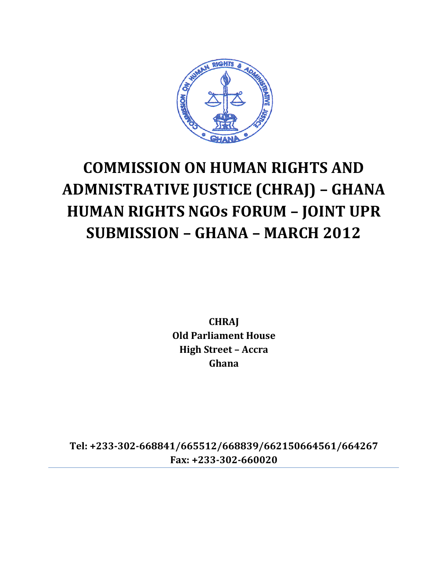

# **COMMISSION ON HUMAN RIGHTS AND ADMNISTRATIVE JUSTICE (CHRAJ) – GHANA HUMAN RIGHTS NGOs FORUM – JOINT UPR SUBMISSION – GHANA – MARCH 2012**

**CHRAJ Old Parliament House High Street – Accra Ghana**

**Tel: +233-302-668841/665512/668839/662150664561/664267 Fax: +233-302-660020**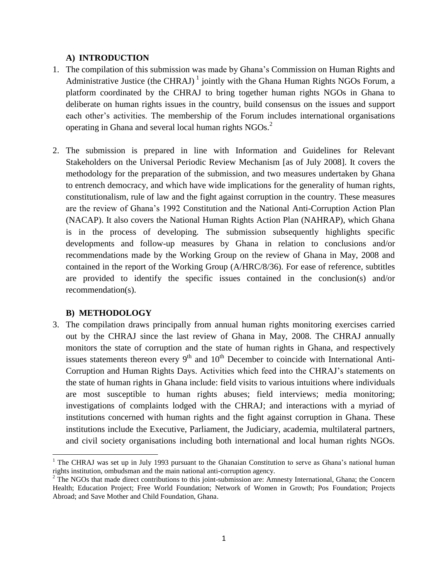## **A) INTRODUCTION**

- 1. The compilation of this submission was made by Ghana's Commission on Human Rights and Administrative Justice (the CHRAJ)<sup>1</sup> jointly with the Ghana Human Rights NGOs Forum, a platform coordinated by the CHRAJ to bring together human rights NGOs in Ghana to deliberate on human rights issues in the country, build consensus on the issues and support each other's activities. The membership of the Forum includes international organisations operating in Ghana and several local human rights  $NGOs<sup>2</sup>$ .
- 2. The submission is prepared in line with Information and Guidelines for Relevant Stakeholders on the Universal Periodic Review Mechanism [as of July 2008]. It covers the methodology for the preparation of the submission, and two measures undertaken by Ghana to entrench democracy, and which have wide implications for the generality of human rights, constitutionalism, rule of law and the fight against corruption in the country. These measures are the review of Ghana's 1992 Constitution and the National Anti-Corruption Action Plan (NACAP). It also covers the National Human Rights Action Plan (NAHRAP), which Ghana is in the process of developing. The submission subsequently highlights specific developments and follow-up measures by Ghana in relation to conclusions and/or recommendations made by the Working Group on the review of Ghana in May, 2008 and contained in the report of the Working Group (A/HRC/8/36). For ease of reference, subtitles are provided to identify the specific issues contained in the conclusion(s) and/or recommendation(s).

# **B) METHODOLOGY**

 $\overline{\phantom{a}}$ 

3. The compilation draws principally from annual human rights monitoring exercises carried out by the CHRAJ since the last review of Ghana in May, 2008. The CHRAJ annually monitors the state of corruption and the state of human rights in Ghana, and respectively issues statements thereon every  $9<sup>th</sup>$  and  $10<sup>th</sup>$  December to coincide with International Anti-Corruption and Human Rights Days. Activities which feed into the CHRAJ's statements on the state of human rights in Ghana include: field visits to various intuitions where individuals are most susceptible to human rights abuses; field interviews; media monitoring; investigations of complaints lodged with the CHRAJ; and interactions with a myriad of institutions concerned with human rights and the fight against corruption in Ghana. These institutions include the Executive, Parliament, the Judiciary, academia, multilateral partners, and civil society organisations including both international and local human rights NGOs.

<sup>&</sup>lt;sup>1</sup> The CHRAJ was set up in July 1993 pursuant to the Ghanaian Constitution to serve as Ghana's national human rights institution, ombudsman and the main national anti-corruption agency.

<sup>&</sup>lt;sup>2</sup> The NGOs that made direct contributions to this joint-submission are: Amnesty International, Ghana; the Concern Health; Education Project; Free World Foundation; Network of Women in Growth; Pos Foundation; Projects Abroad; and Save Mother and Child Foundation, Ghana.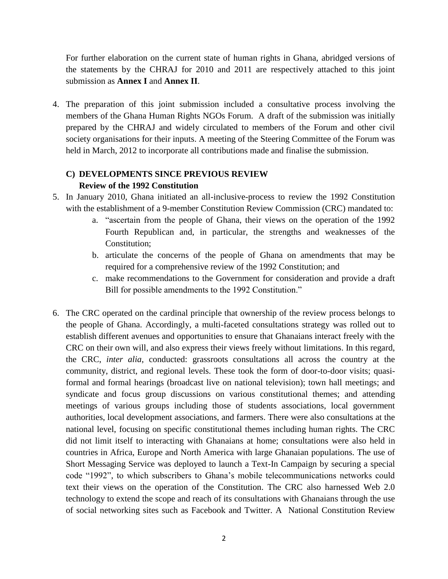For further elaboration on the current state of human rights in Ghana, abridged versions of the statements by the CHRAJ for 2010 and 2011 are respectively attached to this joint submission as **Annex I** and **Annex II**.

4. The preparation of this joint submission included a consultative process involving the members of the Ghana Human Rights NGOs Forum. A draft of the submission was initially prepared by the CHRAJ and widely circulated to members of the Forum and other civil society organisations for their inputs. A meeting of the Steering Committee of the Forum was held in March, 2012 to incorporate all contributions made and finalise the submission.

# **C) DEVELOPMENTS SINCE PREVIOUS REVIEW Review of the 1992 Constitution**

- 5. In January 2010, Ghana initiated an all-inclusive-process to review the 1992 Constitution with the establishment of a 9-member Constitution Review Commission (CRC) mandated to:
	- a. "ascertain from the people of Ghana, their views on the operation of the 1992 Fourth Republican and, in particular, the strengths and weaknesses of the Constitution;
	- b. articulate the concerns of the people of Ghana on amendments that may be required for a comprehensive review of the 1992 Constitution; and
	- c. make recommendations to the Government for consideration and provide a draft Bill for possible amendments to the 1992 Constitution."
- 6. The CRC operated on the cardinal principle that ownership of the review process belongs to the people of Ghana. Accordingly, a multi-faceted consultations strategy was rolled out to establish different avenues and opportunities to ensure that Ghanaians interact freely with the CRC on their own will, and also express their views freely without limitations. In this regard, the CRC, *inter alia*, conducted: grassroots consultations all across the country at the community, district, and regional levels. These took the form of door-to-door visits; quasiformal and formal hearings (broadcast live on national television); town hall meetings; and syndicate and focus group discussions on various constitutional themes; and attending meetings of various groups including those of students associations, local government authorities, local development associations, and farmers. There were also consultations at the national level, focusing on specific constitutional themes including human rights. The CRC did not limit itself to interacting with Ghanaians at home; consultations were also held in countries in Africa, Europe and North America with large Ghanaian populations. The use of Short Messaging Service was deployed to launch a Text-In Campaign by securing a special code "1992", to which subscribers to Ghana's mobile telecommunications networks could text their views on the operation of the Constitution. The CRC also harnessed Web 2.0 technology to extend the scope and reach of its consultations with Ghanaians through the use of social networking sites such as Facebook and Twitter. A National Constitution Review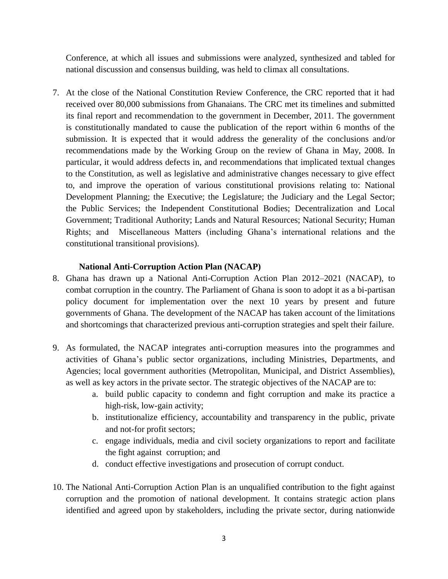Conference, at which all issues and submissions were analyzed, synthesized and tabled for national discussion and consensus building, was held to climax all consultations.

7. At the close of the National Constitution Review Conference, the CRC reported that it had received over 80,000 submissions from Ghanaians. The CRC met its timelines and submitted its final report and recommendation to the government in December, 2011. The government is constitutionally mandated to cause the publication of the report within 6 months of the submission. It is expected that it would address the generality of the conclusions and/or recommendations made by the Working Group on the review of Ghana in May, 2008. In particular, it would address defects in, and recommendations that implicated textual changes to the Constitution, as well as legislative and administrative changes necessary to give effect to, and improve the operation of various constitutional provisions relating to: National Development Planning; the Executive; the Legislature; the Judiciary and the Legal Sector; the Public Services; the Independent Constitutional Bodies; Decentralization and Local Government; Traditional Authority; Lands and Natural Resources; National Security; Human Rights; and Miscellaneous Matters (including Ghana's international relations and the constitutional transitional provisions).

## **National Anti-Corruption Action Plan (NACAP)**

- 8. Ghana has drawn up a National Anti-Corruption Action Plan 2012–2021 (NACAP), to combat corruption in the country. The Parliament of Ghana is soon to adopt it as a bi-partisan policy document for implementation over the next 10 years by present and future governments of Ghana. The development of the NACAP has taken account of the limitations and shortcomings that characterized previous anti-corruption strategies and spelt their failure.
- 9. As formulated, the NACAP integrates anti-corruption measures into the programmes and activities of Ghana's public sector organizations, including Ministries, Departments, and Agencies; local government authorities (Metropolitan, Municipal, and District Assemblies), as well as key actors in the private sector. The strategic objectives of the NACAP are to:
	- a. build public capacity to condemn and fight corruption and make its practice a high-risk, low-gain activity;
	- b. institutionalize efficiency, accountability and transparency in the public, private and not-for profit sectors;
	- c. engage individuals, media and civil society organizations to report and facilitate the fight against corruption; and
	- d. conduct effective investigations and prosecution of corrupt conduct.
- 10. The National Anti-Corruption Action Plan is an unqualified contribution to the fight against corruption and the promotion of national development. It contains strategic action plans identified and agreed upon by stakeholders, including the private sector, during nationwide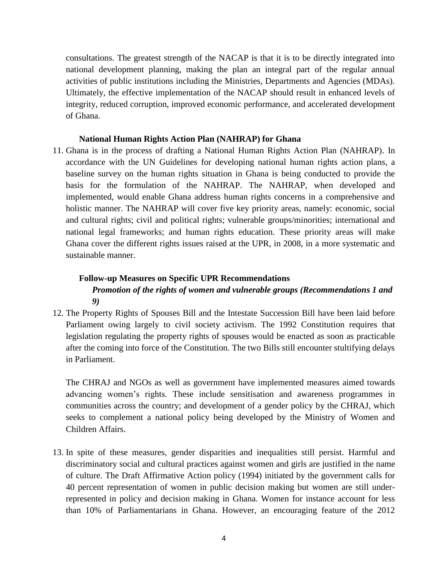consultations. The greatest strength of the NACAP is that it is to be directly integrated into national development planning, making the plan an integral part of the regular annual activities of public institutions including the Ministries, Departments and Agencies (MDAs). Ultimately, the effective implementation of the NACAP should result in enhanced levels of integrity, reduced corruption, improved economic performance, and accelerated development of Ghana.

#### **National Human Rights Action Plan (NAHRAP) for Ghana**

11. Ghana is in the process of drafting a National Human Rights Action Plan (NAHRAP). In accordance with the UN Guidelines for developing national human rights action plans, a baseline survey on the human rights situation in Ghana is being conducted to provide the basis for the formulation of the NAHRAP. The NAHRAP, when developed and implemented, would enable Ghana address human rights concerns in a comprehensive and holistic manner. The NAHRAP will cover five key priority areas, namely: economic, social and cultural rights; civil and political rights; vulnerable groups/minorities; international and national legal frameworks; and human rights education. These priority areas will make Ghana cover the different rights issues raised at the UPR, in 2008, in a more systematic and sustainable manner.

#### **Follow-up Measures on Specific UPR Recommendations**

# *Promotion of the rights of women and vulnerable groups (Recommendations 1 and 9)*

12. The Property Rights of Spouses Bill and the Intestate Succession Bill have been laid before Parliament owing largely to civil society activism. The 1992 Constitution requires that legislation regulating the property rights of spouses would be enacted as soon as practicable after the coming into force of the Constitution. The two Bills still encounter stultifying delays in Parliament.

The CHRAJ and NGOs as well as government have implemented measures aimed towards advancing women's rights. These include sensitisation and awareness programmes in communities across the country; and development of a gender policy by the CHRAJ, which seeks to complement a national policy being developed by the Ministry of Women and Children Affairs.

13. In spite of these measures, gender disparities and inequalities still persist. Harmful and discriminatory social and cultural practices against women and girls are justified in the name of culture. The Draft Affirmative Action policy (1994) initiated by the government calls for 40 percent representation of women in public decision making but women are still underrepresented in policy and decision making in Ghana. Women for instance account for less than 10% of Parliamentarians in Ghana. However, an encouraging feature of the 2012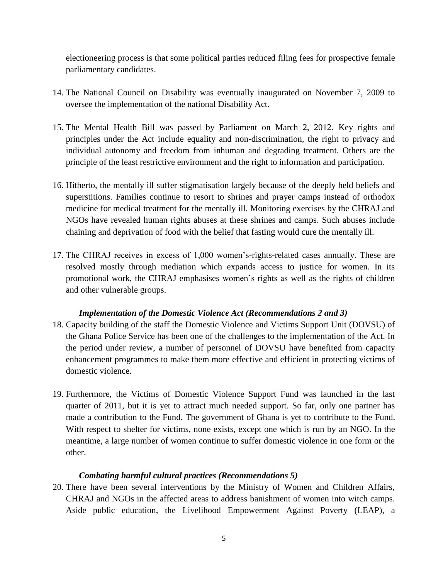electioneering process is that some political parties reduced filing fees for prospective female parliamentary candidates.

- 14. The National Council on Disability was eventually inaugurated on November 7, 2009 to oversee the implementation of the national Disability Act.
- 15. The Mental Health Bill was passed by Parliament on March 2, 2012. Key rights and principles under the Act include equality and non-discrimination, the right to privacy and individual autonomy and freedom from inhuman and degrading treatment. Others are the principle of the least restrictive environment and the right to information and participation.
- 16. Hitherto, the mentally ill suffer stigmatisation largely because of the deeply held beliefs and superstitions. Families continue to resort to shrines and prayer camps instead of orthodox medicine for medical treatment for the mentally ill. Monitoring exercises by the CHRAJ and NGOs have revealed human rights abuses at these shrines and camps. Such abuses include chaining and deprivation of food with the belief that fasting would cure the mentally ill.
- 17. The CHRAJ receives in excess of 1,000 women's-rights-related cases annually. These are resolved mostly through mediation which expands access to justice for women. In its promotional work, the CHRAJ emphasises women's rights as well as the rights of children and other vulnerable groups.

## *Implementation of the Domestic Violence Act (Recommendations 2 and 3)*

- 18. Capacity building of the staff the Domestic Violence and Victims Support Unit (DOVSU) of the Ghana Police Service has been one of the challenges to the implementation of the Act. In the period under review, a number of personnel of DOVSU have benefited from capacity enhancement programmes to make them more effective and efficient in protecting victims of domestic violence.
- 19. Furthermore, the Victims of Domestic Violence Support Fund was launched in the last quarter of 2011, but it is yet to attract much needed support. So far, only one partner has made a contribution to the Fund. The government of Ghana is yet to contribute to the Fund. With respect to shelter for victims, none exists, except one which is run by an NGO. In the meantime, a large number of women continue to suffer domestic violence in one form or the other.

## *Combating harmful cultural practices (Recommendations 5)*

20. There have been several interventions by the Ministry of Women and Children Affairs, CHRAJ and NGOs in the affected areas to address banishment of women into witch camps. Aside public education, the Livelihood Empowerment Against Poverty (LEAP), a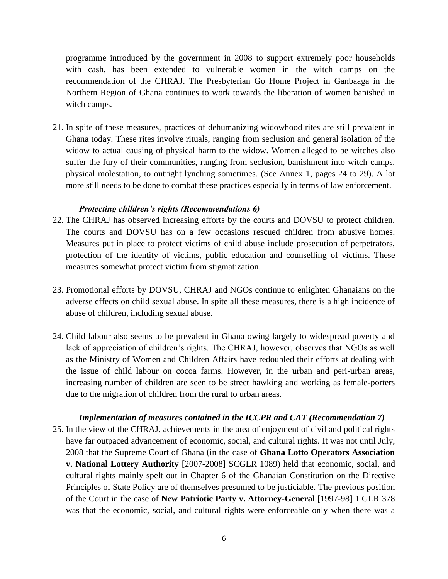programme introduced by the government in 2008 to support extremely poor households with cash, has been extended to vulnerable women in the witch camps on the recommendation of the CHRAJ. The Presbyterian Go Home Project in Ganbaaga in the Northern Region of Ghana continues to work towards the liberation of women banished in witch camps.

21. In spite of these measures, practices of dehumanizing widowhood rites are still prevalent in Ghana today. These rites involve rituals, ranging from seclusion and general isolation of the widow to actual causing of physical harm to the widow. Women alleged to be witches also suffer the fury of their communities, ranging from seclusion, banishment into witch camps, physical molestation, to outright lynching sometimes. (See Annex 1, pages 24 to 29). A lot more still needs to be done to combat these practices especially in terms of law enforcement.

#### *Protecting children's rights (Recommendations 6)*

- 22. The CHRAJ has observed increasing efforts by the courts and DOVSU to protect children. The courts and DOVSU has on a few occasions rescued children from abusive homes. Measures put in place to protect victims of child abuse include prosecution of perpetrators, protection of the identity of victims, public education and counselling of victims. These measures somewhat protect victim from stigmatization.
- 23. Promotional efforts by DOVSU, CHRAJ and NGOs continue to enlighten Ghanaians on the adverse effects on child sexual abuse. In spite all these measures, there is a high incidence of abuse of children, including sexual abuse.
- 24. Child labour also seems to be prevalent in Ghana owing largely to widespread poverty and lack of appreciation of children's rights. The CHRAJ, however, observes that NGOs as well as the Ministry of Women and Children Affairs have redoubled their efforts at dealing with the issue of child labour on cocoa farms. However, in the urban and peri-urban areas, increasing number of children are seen to be street hawking and working as female-porters due to the migration of children from the rural to urban areas.

#### *Implementation of measures contained in the ICCPR and CAT (Recommendation 7)*

25. In the view of the CHRAJ, achievements in the area of enjoyment of civil and political rights have far outpaced advancement of economic, social, and cultural rights. It was not until July, 2008 that the Supreme Court of Ghana (in the case of **Ghana Lotto Operators Association v. National Lottery Authority** [2007-2008] SCGLR 1089) held that economic, social, and cultural rights mainly spelt out in Chapter 6 of the Ghanaian Constitution on the Directive Principles of State Policy are of themselves presumed to be justiciable. The previous position of the Court in the case of **New Patriotic Party v. Attorney-General** [1997-98] 1 GLR 378 was that the economic, social, and cultural rights were enforceable only when there was a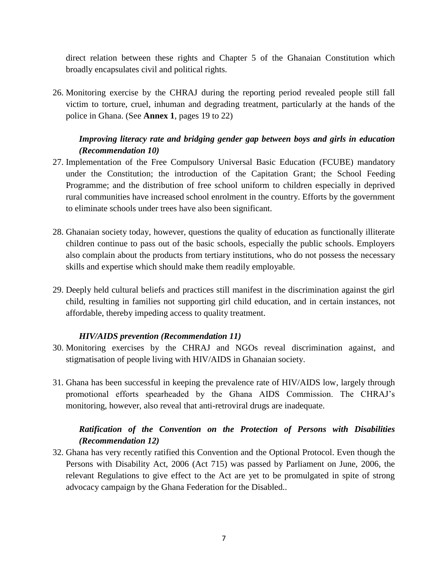direct relation between these rights and Chapter 5 of the Ghanaian Constitution which broadly encapsulates civil and political rights.

26. Monitoring exercise by the CHRAJ during the reporting period revealed people still fall victim to torture, cruel, inhuman and degrading treatment, particularly at the hands of the police in Ghana. (See **Annex 1**, pages 19 to 22)

# *Improving literacy rate and bridging gender gap between boys and girls in education (Recommendation 10)*

- 27. Implementation of the Free Compulsory Universal Basic Education (FCUBE) mandatory under the Constitution; the introduction of the Capitation Grant; the School Feeding Programme; and the distribution of free school uniform to children especially in deprived rural communities have increased school enrolment in the country. Efforts by the government to eliminate schools under trees have also been significant.
- 28. Ghanaian society today, however, questions the quality of education as functionally illiterate children continue to pass out of the basic schools, especially the public schools. Employers also complain about the products from tertiary institutions, who do not possess the necessary skills and expertise which should make them readily employable.
- 29. Deeply held cultural beliefs and practices still manifest in the discrimination against the girl child, resulting in families not supporting girl child education, and in certain instances, not affordable, thereby impeding access to quality treatment.

## *HIV/AIDS prevention (Recommendation 11)*

- 30. Monitoring exercises by the CHRAJ and NGOs reveal discrimination against, and stigmatisation of people living with HIV/AIDS in Ghanaian society.
- 31. Ghana has been successful in keeping the prevalence rate of HIV/AIDS low, largely through promotional efforts spearheaded by the Ghana AIDS Commission. The CHRAJ's monitoring, however, also reveal that anti-retroviral drugs are inadequate.

# *Ratification of the Convention on the Protection of Persons with Disabilities (Recommendation 12)*

32. Ghana has very recently ratified this Convention and the Optional Protocol. Even though the Persons with Disability Act, 2006 (Act 715) was passed by Parliament on June, 2006, the relevant Regulations to give effect to the Act are yet to be promulgated in spite of strong advocacy campaign by the Ghana Federation for the Disabled..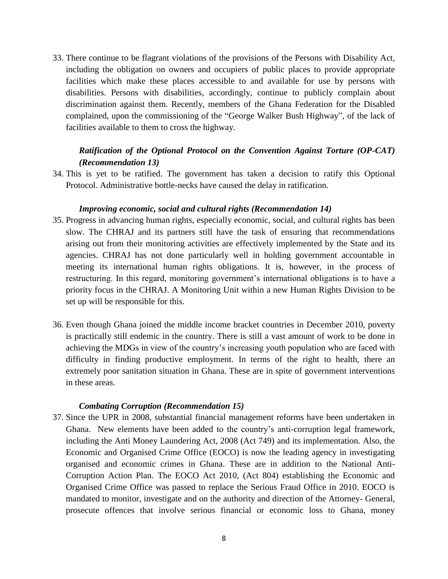33. There continue to be flagrant violations of the provisions of the Persons with Disability Act, including the obligation on owners and occupiers of public places to provide appropriate facilities which make these places accessible to and available for use by persons with disabilities. Persons with disabilities, accordingly, continue to publicly complain about discrimination against them. Recently, members of the Ghana Federation for the Disabled complained, upon the commissioning of the "George Walker Bush Highway", of the lack of facilities available to them to cross the highway.

# *Ratification of the Optional Protocol on the Convention Against Torture (OP-CAT) (Recommendation 13)*

34. This is yet to be ratified. The government has taken a decision to ratify this Optional Protocol. Administrative bottle-necks have caused the delay in ratification.

#### *Improving economic, social and cultural rights (Recommendation 14)*

- 35. Progress in advancing human rights, especially economic, social, and cultural rights has been slow. The CHRAJ and its partners still have the task of ensuring that recommendations arising out from their monitoring activities are effectively implemented by the State and its agencies. CHRAJ has not done particularly well in holding government accountable in meeting its international human rights obligations. It is, however, in the process of restructuring. In this regard, monitoring government's international obligations is to have a priority focus in the CHRAJ. A Monitoring Unit within a new Human Rights Division to be set up will be responsible for this.
- 36. Even though Ghana joined the middle income bracket countries in December 2010, poverty is practically still endemic in the country. There is still a vast amount of work to be done in achieving the MDGs in view of the country's increasing youth population who are faced with difficulty in finding productive employment. In terms of the right to health, there an extremely poor sanitation situation in Ghana. These are in spite of government interventions in these areas.

#### *Combating Corruption (Recommendation 15)*

37. Since the UPR in 2008, substantial financial management reforms have been undertaken in Ghana. New elements have been added to the country's anti-corruption legal framework, including the Anti Money Laundering Act, 2008 (Act 749) and its implementation. Also, the Economic and Organised Crime Office (EOCO) is now the leading agency in investigating organised and economic crimes in Ghana. These are in addition to the National Anti-Corruption Action Plan. The EOCO Act 2010, (Act 804) establishing the Economic and Organised Crime Office was passed to replace the Serious Fraud Office in 2010. EOCO is mandated to monitor, investigate and on the authority and direction of the Attorney- General, prosecute offences that involve serious financial or economic loss to Ghana, money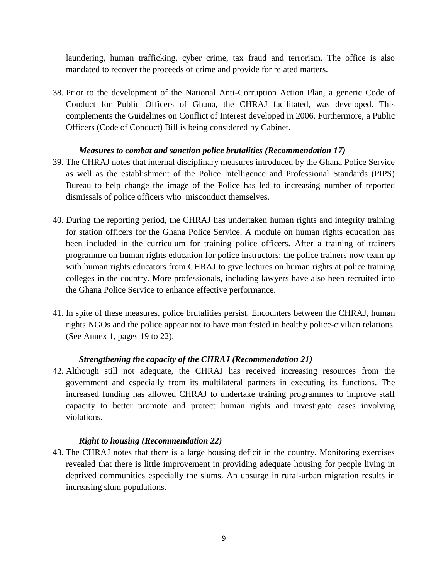laundering, human trafficking, cyber crime, tax fraud and terrorism. The office is also mandated to recover the proceeds of crime and provide for related matters.

38. Prior to the development of the National Anti-Corruption Action Plan, a generic Code of Conduct for Public Officers of Ghana, the CHRAJ facilitated, was developed. This complements the Guidelines on Conflict of Interest developed in 2006. Furthermore, a Public Officers (Code of Conduct) Bill is being considered by Cabinet.

## *Measures to combat and sanction police brutalities (Recommendation 17)*

- 39. The CHRAJ notes that internal disciplinary measures introduced by the Ghana Police Service as well as the establishment of the Police Intelligence and Professional Standards (PIPS) Bureau to help change the image of the Police has led to increasing number of reported dismissals of police officers who misconduct themselves.
- 40. During the reporting period, the CHRAJ has undertaken human rights and integrity training for station officers for the Ghana Police Service. A module on human rights education has been included in the curriculum for training police officers. After a training of trainers programme on human rights education for police instructors; the police trainers now team up with human rights educators from CHRAJ to give lectures on human rights at police training colleges in the country. More professionals, including lawyers have also been recruited into the Ghana Police Service to enhance effective performance.
- 41. In spite of these measures, police brutalities persist. Encounters between the CHRAJ, human rights NGOs and the police appear not to have manifested in healthy police-civilian relations. (See Annex 1, pages 19 to 22).

# *Strengthening the capacity of the CHRAJ (Recommendation 21)*

42. Although still not adequate, the CHRAJ has received increasing resources from the government and especially from its multilateral partners in executing its functions. The increased funding has allowed CHRAJ to undertake training programmes to improve staff capacity to better promote and protect human rights and investigate cases involving violations.

## *Right to housing (Recommendation 22)*

43. The CHRAJ notes that there is a large housing deficit in the country. Monitoring exercises revealed that there is little improvement in providing adequate housing for people living in deprived communities especially the slums. An upsurge in rural-urban migration results in increasing slum populations.